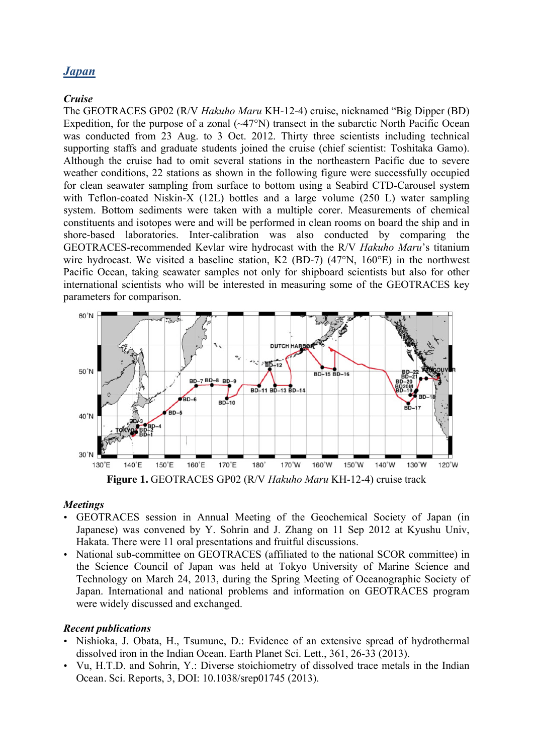# *Japan*

### *Cruise*

The GEOTRACES GP02 (R/V *Hakuho Maru* KH-12-4) cruise, nicknamed "Big Dipper (BD) Expedition, for the purpose of a zonal  $(\sim47^{\circ}N)$  transect in the subarctic North Pacific Ocean was conducted from 23 Aug. to 3 Oct. 2012. Thirty three scientists including technical supporting staffs and graduate students joined the cruise (chief scientist: Toshitaka Gamo). Although the cruise had to omit several stations in the northeastern Pacific due to severe weather conditions, 22 stations as shown in the following figure were successfully occupied for clean seawater sampling from surface to bottom using a Seabird CTD-Carousel system with Teflon-coated Niskin-X (12L) bottles and a large volume (250 L) water sampling system. Bottom sediments were taken with a multiple corer. Measurements of chemical constituents and isotopes were and will be performed in clean rooms on board the ship and in shore-based laboratories. Inter-calibration was also conducted by comparing the GEOTRACES-recommended Kevlar wire hydrocast with the R/V *Hakuho Maru*'s titanium wire hydrocast. We visited a baseline station, K2 (BD-7) (47°N, 160°E) in the northwest Pacific Ocean, taking seawater samples not only for shipboard scientists but also for other international scientists who will be interested in measuring some of the GEOTRACES key parameters for comparison.



**Figure 1.** GEOTRACES GP02 (R/V *Hakuho Maru* KH-12-4) cruise track

#### *Meetings*

- GEOTRACES session in Annual Meeting of the Geochemical Society of Japan (in Japanese) was convened by Y. Sohrin and J. Zhang on 11 Sep 2012 at Kyushu Univ, Hakata. There were 11 oral presentations and fruitful discussions.
- National sub-committee on GEOTRACES (affiliated to the national SCOR committee) in the Science Council of Japan was held at Tokyo University of Marine Science and Technology on March 24, 2013, during the Spring Meeting of Oceanographic Society of Japan. International and national problems and information on GEOTRACES program were widely discussed and exchanged.

## *Recent publications*

- Nishioka, J. Obata, H., Tsumune, D.: Evidence of an extensive spread of hydrothermal dissolved iron in the Indian Ocean. Earth Planet Sci. Lett., 361, 26-33 (2013).
- Vu, H.T.D. and Sohrin, Y.: Diverse stoichiometry of dissolved trace metals in the Indian Ocean. Sci. Reports, 3, DOI: 10.1038/srep01745 (2013).